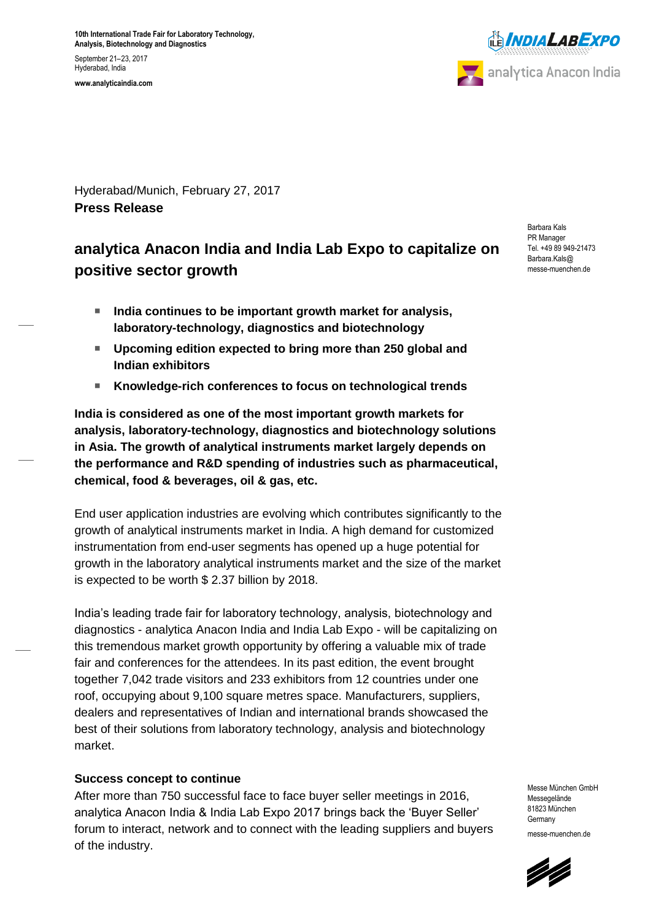**10th International Trade Fair for Laboratory Technology, Analysis, Biotechnology and Diagnostics** September 21–23, 2017 Hyderabad, India **www.analyticaindia.com**



Hyderabad/Munich, February 27, 2017 **Press Release**

# **analytica Anacon India and India Lab Expo to capitalize on positive sector growth**

- India continues to be important growth market for analysis, **laboratory-technology, diagnostics and biotechnology**
- **Upcoming edition expected to bring more than 250 global and Indian exhibitors**
- **Knowledge-rich conferences to focus on technological trends**

**India is considered as one of the most important growth markets for analysis, laboratory-technology, diagnostics and biotechnology solutions in Asia. The growth of analytical instruments market largely depends on the performance and R&D spending of industries such as pharmaceutical, chemical, food & beverages, oil & gas, etc.** 

End user application industries are evolving which contributes significantly to the growth of analytical instruments market in India. A high demand for customized instrumentation from end-user segments has opened up a huge potential for growth in the laboratory analytical instruments market and the size of the market is expected to be worth \$ 2.37 billion by 2018.

India's leading trade fair for laboratory technology, analysis, biotechnology and diagnostics - analytica Anacon India and India Lab Expo - will be capitalizing on this tremendous market growth opportunity by offering a valuable mix of trade fair and conferences for the attendees. In its past edition, the event brought together 7,042 trade visitors and 233 exhibitors from 12 countries under one roof, occupying about 9,100 square metres space. Manufacturers, suppliers, dealers and representatives of Indian and international brands showcased the best of their solutions from laboratory technology, analysis and biotechnology market.

## **Success concept to continue**

After more than 750 successful face to face buyer seller meetings in 2016, analytica Anacon India & India Lab Expo 2017 brings back the 'Buyer Seller' forum to interact, network and to connect with the leading suppliers and buyers of the industry.

Barbara Kals PR Manager Tel. +49 89 949-21473 Barbara.Kals@ messe-muenchen.de

Messe München GmbH Messegelände 81823 München **Germany** messe-muenchen.de

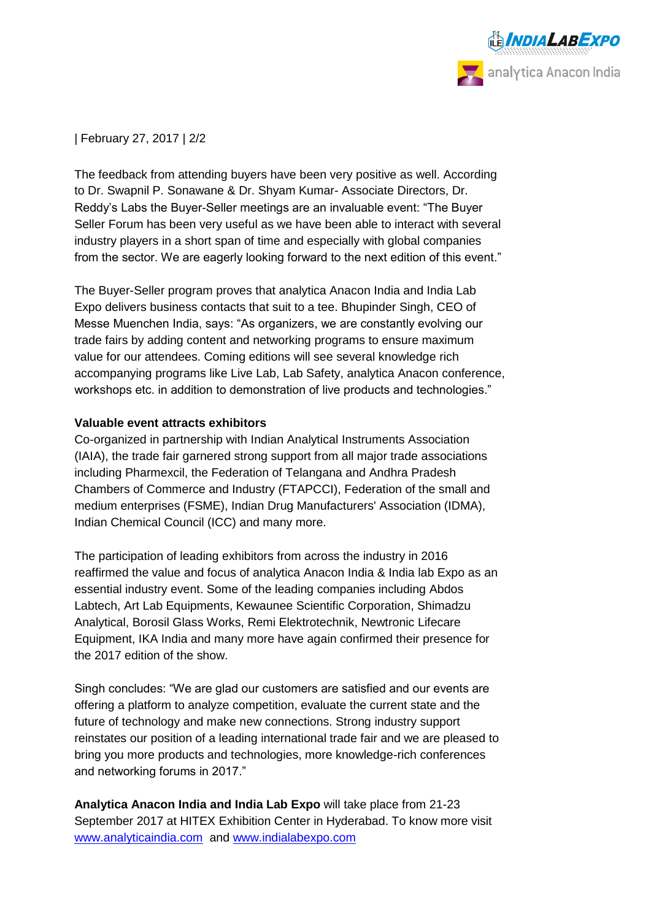

| February 27, 2017 | 2/2

The feedback from attending buyers have been very positive as well. According to Dr. Swapnil P. Sonawane & Dr. Shyam Kumar- Associate Directors, Dr. Reddy's Labs the Buyer-Seller meetings are an invaluable event: "The Buyer Seller Forum has been very useful as we have been able to interact with several industry players in a short span of time and especially with global companies from the sector. We are eagerly looking forward to the next edition of this event."

The Buyer-Seller program proves that analytica Anacon India and India Lab Expo delivers business contacts that suit to a tee. Bhupinder Singh, CEO of Messe Muenchen India, says: "As organizers, we are constantly evolving our trade fairs by adding content and networking programs to ensure maximum value for our attendees. Coming editions will see several knowledge rich accompanying programs like Live Lab, Lab Safety, analytica Anacon conference, workshops etc. in addition to demonstration of live products and technologies."

## **Valuable event attracts exhibitors**

Co-organized in partnership with Indian Analytical Instruments Association (IAIA), the trade fair garnered strong support from all major trade associations including Pharmexcil, the Federation of Telangana and Andhra Pradesh Chambers of Commerce and Industry (FTAPCCI), Federation of the small and medium enterprises (FSME), Indian Drug Manufacturers' Association (IDMA), Indian Chemical Council (ICC) and many more.

The participation of leading exhibitors from across the industry in 2016 reaffirmed the value and focus of analytica Anacon India & India lab Expo as an essential industry event. Some of the leading companies including Abdos Labtech, Art Lab Equipments, Kewaunee Scientific Corporation, Shimadzu Analytical, Borosil Glass Works, Remi Elektrotechnik, Newtronic Lifecare Equipment, IKA India and many more have again confirmed their presence for the 2017 edition of the show.

Singh concludes: "We are glad our customers are satisfied and our events are offering a platform to analyze competition, evaluate the current state and the future of technology and make new connections. Strong industry support reinstates our position of a leading international trade fair and we are pleased to bring you more products and technologies, more knowledge-rich conferences and networking forums in 2017."

**Analytica Anacon India and India Lab Expo** will take place from 21-23 September 2017 at HITEX Exhibition Center in Hyderabad. To know more visit [www.analyticaindia.com](http://www.analyticaindia.com/) and [www.indialabexpo.com](http://www.indialabexpo.com/)